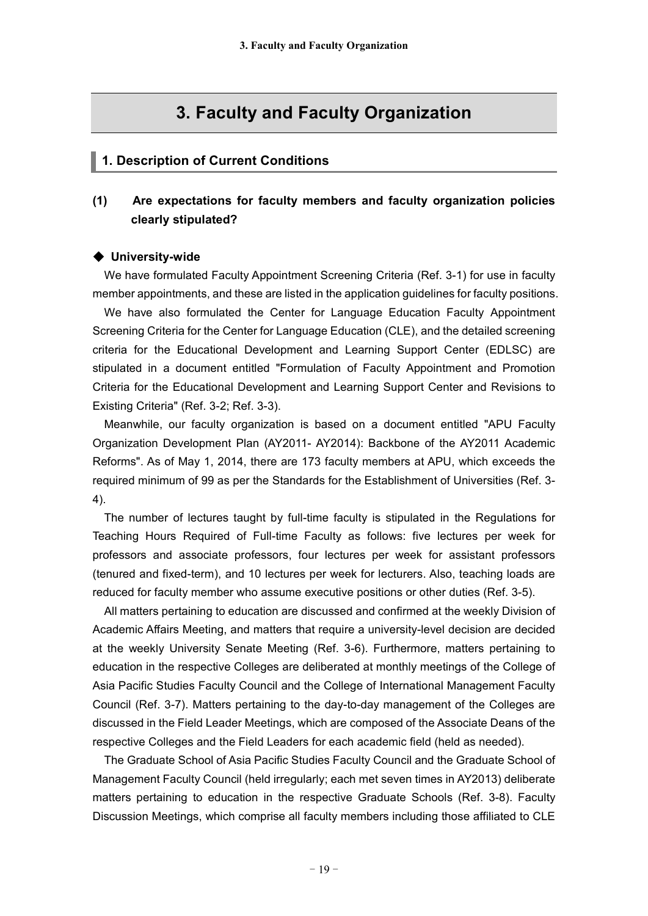# **3. Faculty and Faculty Organization**

### **1. Description of Current Conditions**

## **(1) Are expectations for faculty members and faculty organization policies clearly stipulated?**

#### ◆ **University-wide**

We have formulated Faculty Appointment Screening Criteria (Ref. 3-1) for use in faculty member appointments, and these are listed in the application guidelines for faculty positions.

We have also formulated the Center for Language Education Faculty Appointment Screening Criteria for the Center for Language Education (CLE), and the detailed screening criteria for the Educational Development and Learning Support Center (EDLSC) are stipulated in a document entitled "Formulation of Faculty Appointment and Promotion Criteria for the Educational Development and Learning Support Center and Revisions to Existing Criteria" (Ref. 3-2; Ref. 3-3).

Meanwhile, our faculty organization is based on a document entitled "APU Faculty Organization Development Plan (AY2011- AY2014): Backbone of the AY2011 Academic Reforms". As of May 1, 2014, there are 173 faculty members at APU, which exceeds the required minimum of 99 as per the Standards for the Establishment of Universities (Ref. 3- 4).

The number of lectures taught by full-time faculty is stipulated in the Regulations for Teaching Hours Required of Full-time Faculty as follows: five lectures per week for professors and associate professors, four lectures per week for assistant professors (tenured and fixed-term), and 10 lectures per week for lecturers. Also, teaching loads are reduced for faculty member who assume executive positions or other duties (Ref. 3-5).

All matters pertaining to education are discussed and confirmed at the weekly Division of Academic Affairs Meeting, and matters that require a university-level decision are decided at the weekly University Senate Meeting (Ref. 3-6). Furthermore, matters pertaining to education in the respective Colleges are deliberated at monthly meetings of the College of Asia Pacific Studies Faculty Council and the College of International Management Faculty Council (Ref. 3-7). Matters pertaining to the day-to-day management of the Colleges are discussed in the Field Leader Meetings, which are composed of the Associate Deans of the respective Colleges and the Field Leaders for each academic field (held as needed).

The Graduate School of Asia Pacific Studies Faculty Council and the Graduate School of Management Faculty Council (held irregularly; each met seven times in AY2013) deliberate matters pertaining to education in the respective Graduate Schools (Ref. 3-8). Faculty Discussion Meetings, which comprise all faculty members including those affiliated to CLE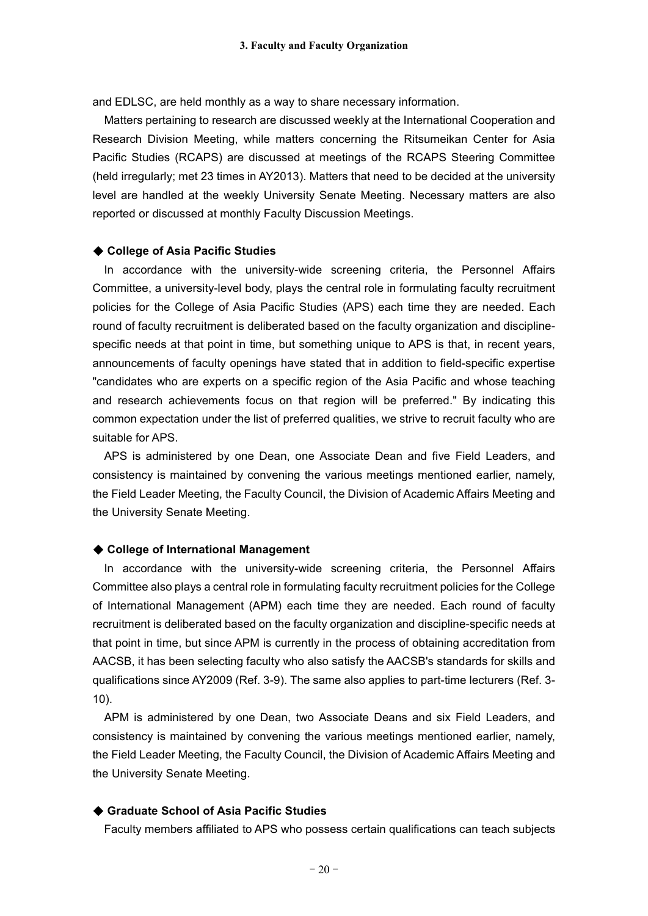and EDLSC, are held monthly as a way to share necessary information.

Matters pertaining to research are discussed weekly at the International Cooperation and Research Division Meeting, while matters concerning the Ritsumeikan Center for Asia Pacific Studies (RCAPS) are discussed at meetings of the RCAPS Steering Committee (held irregularly; met 23 times in AY2013). Matters that need to be decided at the university level are handled at the weekly University Senate Meeting. Necessary matters are also reported or discussed at monthly Faculty Discussion Meetings.

#### ◆ **College of Asia Pacific Studies**

In accordance with the university-wide screening criteria, the Personnel Affairs Committee, a university-level body, plays the central role in formulating faculty recruitment policies for the College of Asia Pacific Studies (APS) each time they are needed. Each round of faculty recruitment is deliberated based on the faculty organization and disciplinespecific needs at that point in time, but something unique to APS is that, in recent years, announcements of faculty openings have stated that in addition to field-specific expertise "candidates who are experts on a specific region of the Asia Pacific and whose teaching and research achievements focus on that region will be preferred." By indicating this common expectation under the list of preferred qualities, we strive to recruit faculty who are suitable for APS.

APS is administered by one Dean, one Associate Dean and five Field Leaders, and consistency is maintained by convening the various meetings mentioned earlier, namely, the Field Leader Meeting, the Faculty Council, the Division of Academic Affairs Meeting and the University Senate Meeting.

#### ◆ **College of International Management**

In accordance with the university-wide screening criteria, the Personnel Affairs Committee also plays a central role in formulating faculty recruitment policies for the College of International Management (APM) each time they are needed. Each round of faculty recruitment is deliberated based on the faculty organization and discipline-specific needs at that point in time, but since APM is currently in the process of obtaining accreditation from AACSB, it has been selecting faculty who also satisfy the AACSB's standards for skills and qualifications since AY2009 (Ref. 3-9). The same also applies to part-time lecturers (Ref. 3- 10).

APM is administered by one Dean, two Associate Deans and six Field Leaders, and consistency is maintained by convening the various meetings mentioned earlier, namely, the Field Leader Meeting, the Faculty Council, the Division of Academic Affairs Meeting and the University Senate Meeting.

#### ◆ **Graduate School of Asia Pacific Studies**

Faculty members affiliated to APS who possess certain qualifications can teach subjects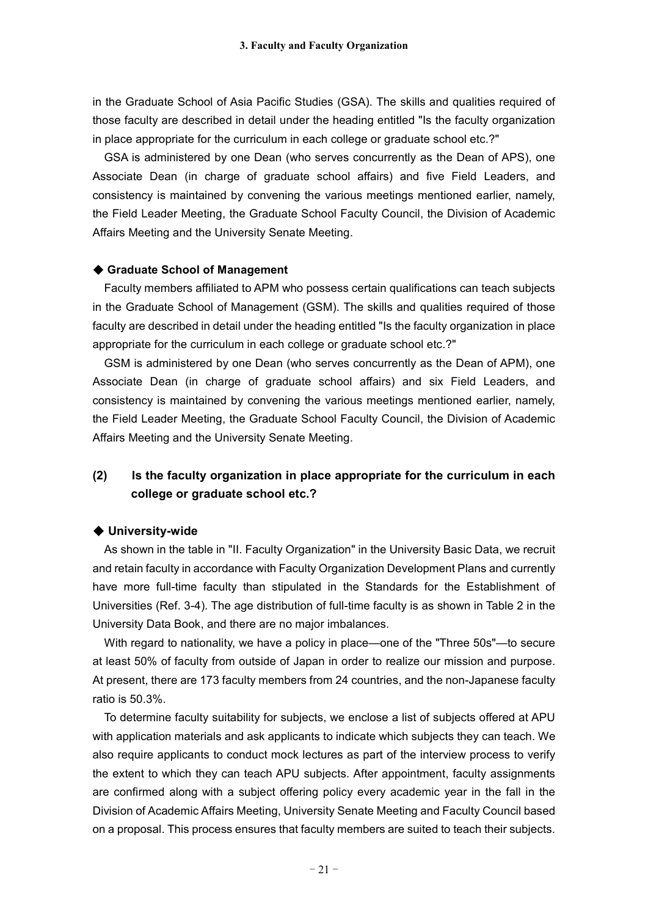in the Graduate School of Asia Pacific Studies (GSA). The skills and qualities required of those faculty are described in detail under the heading entitled "Is the faculty organization in place appropriate for the curriculum in each college or graduate school etc.?"

GSA is administered by one Dean (who serves concurrently as the Dean of APS), one Associate Dean (in charge of graduate school affairs) and five Field Leaders, and consistency is maintained by convening the various meetings mentioned earlier, namely, the Field Leader Meeting, the Graduate School Faculty Council, the Division of Academic Affairs Meeting and the University Senate Meeting.

#### ◆ **Graduate School of Management**

Faculty members affiliated to APM who possess certain qualifications can teach subjects in the Graduate School of Management (GSM). The skills and qualities required of those faculty are described in detail under the heading entitled "Is the faculty organization in place appropriate for the curriculum in each college or graduate school etc.?"

GSM is administered by one Dean (who serves concurrently as the Dean of APM), one Associate Dean (in charge of graduate school affairs) and six Field Leaders, and consistency is maintained by convening the various meetings mentioned earlier, namely, the Field Leader Meeting, the Graduate School Faculty Council, the Division of Academic Affairs Meeting and the University Senate Meeting.

# **(2) Is the faculty organization in place appropriate for the curriculum in each college or graduate school etc.?**

#### ◆ **University-wide**

As shown in the table in "II. Faculty Organization" in the University Basic Data, we recruit and retain faculty in accordance with Faculty Organization Development Plans and currently have more full-time faculty than stipulated in the Standards for the Establishment of Universities (Ref. 3-4). The age distribution of full-time faculty is as shown in Table 2 in the University Data Book, and there are no major imbalances.

With regard to nationality, we have a policy in place—one of the "Three 50s"—to secure at least 50% of faculty from outside of Japan in order to realize our mission and purpose. At present, there are 173 faculty members from 24 countries, and the non-Japanese faculty ratio is 50.3%.

To determine faculty suitability for subjects, we enclose a list of subjects offered at APU with application materials and ask applicants to indicate which subjects they can teach. We also require applicants to conduct mock lectures as part of the interview process to verify the extent to which they can teach APU subjects. After appointment, faculty assignments are confirmed along with a subject offering policy every academic year in the fall in the Division of Academic Affairs Meeting, University Senate Meeting and Faculty Council based on a proposal. This process ensures that faculty members are suited to teach their subjects.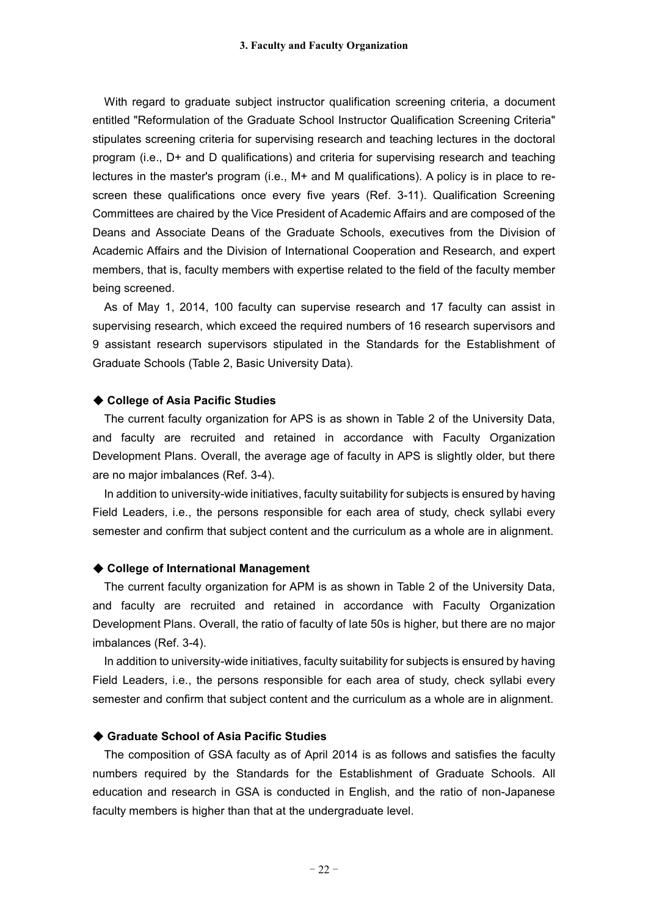With regard to graduate subject instructor qualification screening criteria, a document entitled "Reformulation of the Graduate School Instructor Qualification Screening Criteria" stipulates screening criteria for supervising research and teaching lectures in the doctoral program (i.e., D+ and D qualifications) and criteria for supervising research and teaching lectures in the master's program (i.e., M+ and M qualifications). A policy is in place to rescreen these qualifications once every five years (Ref. 3-11). Qualification Screening Committees are chaired by the Vice President of Academic Affairs and are composed of the Deans and Associate Deans of the Graduate Schools, executives from the Division of Academic Affairs and the Division of International Cooperation and Research, and expert members, that is, faculty members with expertise related to the field of the faculty member being screened.

As of May 1, 2014, 100 faculty can supervise research and 17 faculty can assist in supervising research, which exceed the required numbers of 16 research supervisors and 9 assistant research supervisors stipulated in the Standards for the Establishment of Graduate Schools (Table 2, Basic University Data).

#### ◆ **College of Asia Pacific Studies**

The current faculty organization for APS is as shown in Table 2 of the University Data, and faculty are recruited and retained in accordance with Faculty Organization Development Plans. Overall, the average age of faculty in APS is slightly older, but there are no major imbalances (Ref. 3-4).

In addition to university-wide initiatives, faculty suitability for subjects is ensured by having Field Leaders, i.e., the persons responsible for each area of study, check syllabi every semester and confirm that subject content and the curriculum as a whole are in alignment.

#### ◆ **College of International Management**

The current faculty organization for APM is as shown in Table 2 of the University Data, and faculty are recruited and retained in accordance with Faculty Organization Development Plans. Overall, the ratio of faculty of late 50s is higher, but there are no major imbalances (Ref. 3-4).

In addition to university-wide initiatives, faculty suitability for subjects is ensured by having Field Leaders, i.e., the persons responsible for each area of study, check syllabi every semester and confirm that subject content and the curriculum as a whole are in alignment.

#### ◆ **Graduate School of Asia Pacific Studies**

The composition of GSA faculty as of April 2014 is as follows and satisfies the faculty numbers required by the Standards for the Establishment of Graduate Schools. All education and research in GSA is conducted in English, and the ratio of non-Japanese faculty members is higher than that at the undergraduate level.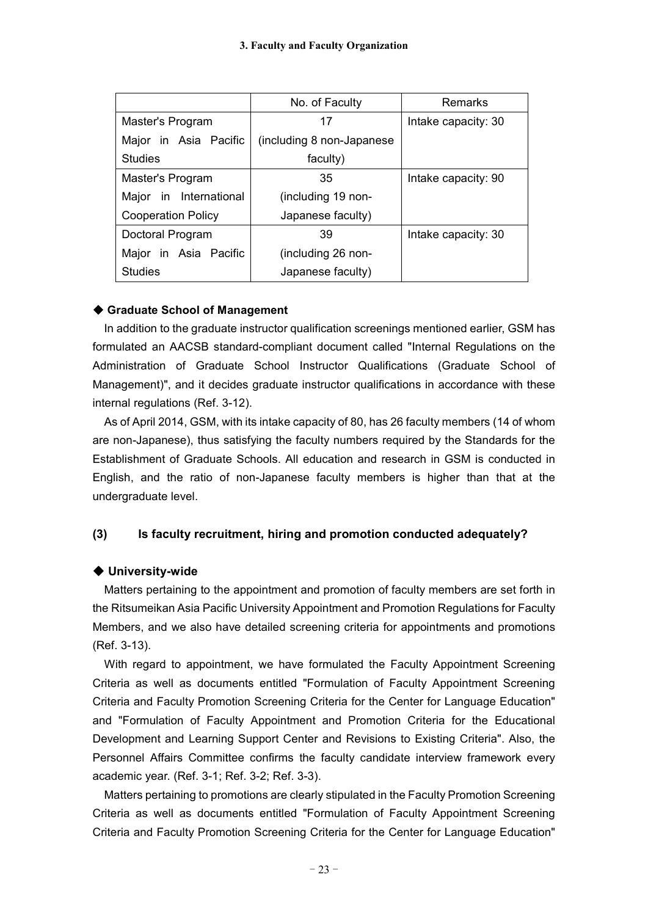|                           | No. of Faculty             | Remarks             |
|---------------------------|----------------------------|---------------------|
| Master's Program          | 17                         | Intake capacity: 30 |
| Major in Asia Pacific     | (including 8 non-Japanese) |                     |
| <b>Studies</b>            | faculty)                   |                     |
| Master's Program          | 35                         | Intake capacity: 90 |
| Major in International    | (including 19 non-         |                     |
| <b>Cooperation Policy</b> | Japanese faculty)          |                     |
| Doctoral Program          | 39                         | Intake capacity: 30 |
| Major in Asia Pacific     | (including 26 non-         |                     |
| <b>Studies</b>            | Japanese faculty)          |                     |

### ◆ **Graduate School of Management**

In addition to the graduate instructor qualification screenings mentioned earlier, GSM has formulated an AACSB standard-compliant document called "Internal Regulations on the Administration of Graduate School Instructor Qualifications (Graduate School of Management)", and it decides graduate instructor qualifications in accordance with these internal regulations (Ref. 3-12).

As of April 2014, GSM, with its intake capacity of 80, has 26 faculty members (14 of whom are non-Japanese), thus satisfying the faculty numbers required by the Standards for the Establishment of Graduate Schools. All education and research in GSM is conducted in English, and the ratio of non-Japanese faculty members is higher than that at the undergraduate level.

### **(3) Is faculty recruitment, hiring and promotion conducted adequately?**

### ◆ **University-wide**

Matters pertaining to the appointment and promotion of faculty members are set forth in the Ritsumeikan Asia Pacific University Appointment and Promotion Regulations for Faculty Members, and we also have detailed screening criteria for appointments and promotions (Ref. 3-13).

With regard to appointment, we have formulated the Faculty Appointment Screening Criteria as well as documents entitled "Formulation of Faculty Appointment Screening Criteria and Faculty Promotion Screening Criteria for the Center for Language Education" and "Formulation of Faculty Appointment and Promotion Criteria for the Educational Development and Learning Support Center and Revisions to Existing Criteria". Also, the Personnel Affairs Committee confirms the faculty candidate interview framework every academic year. (Ref. 3-1; Ref. 3-2; Ref. 3-3).

Matters pertaining to promotions are clearly stipulated in the Faculty Promotion Screening Criteria as well as documents entitled "Formulation of Faculty Appointment Screening Criteria and Faculty Promotion Screening Criteria for the Center for Language Education"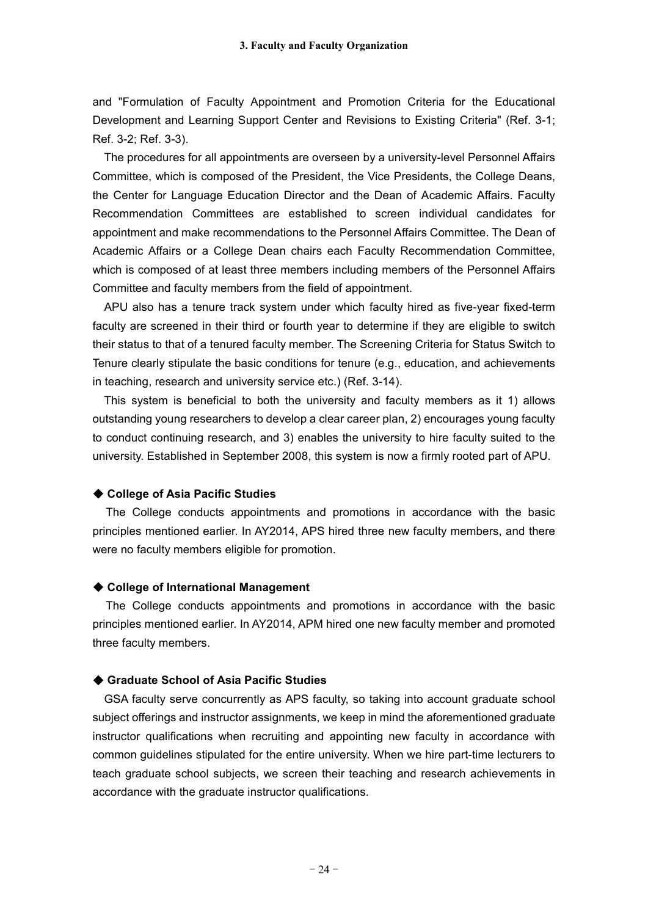and "Formulation of Faculty Appointment and Promotion Criteria for the Educational Development and Learning Support Center and Revisions to Existing Criteria" (Ref. 3-1; Ref. 3-2; Ref. 3-3).

The procedures for all appointments are overseen by a university-level Personnel Affairs Committee, which is composed of the President, the Vice Presidents, the College Deans, the Center for Language Education Director and the Dean of Academic Affairs. Faculty Recommendation Committees are established to screen individual candidates for appointment and make recommendations to the Personnel Affairs Committee. The Dean of Academic Affairs or a College Dean chairs each Faculty Recommendation Committee, which is composed of at least three members including members of the Personnel Affairs Committee and faculty members from the field of appointment.

APU also has a tenure track system under which faculty hired as five-year fixed-term faculty are screened in their third or fourth year to determine if they are eligible to switch their status to that of a tenured faculty member. The Screening Criteria for Status Switch to Tenure clearly stipulate the basic conditions for tenure (e.g., education, and achievements in teaching, research and university service etc.) (Ref. 3-14).

This system is beneficial to both the university and faculty members as it 1) allows outstanding young researchers to develop a clear career plan, 2) encourages young faculty to conduct continuing research, and 3) enables the university to hire faculty suited to the university. Established in September 2008, this system is now a firmly rooted part of APU.

#### ◆ **College of Asia Pacific Studies**

The College conducts appointments and promotions in accordance with the basic principles mentioned earlier. In AY2014, APS hired three new faculty members, and there were no faculty members eligible for promotion.

#### ◆ **College of International Management**

The College conducts appointments and promotions in accordance with the basic principles mentioned earlier. In AY2014, APM hired one new faculty member and promoted three faculty members.

#### ◆ **Graduate School of Asia Pacific Studies**

GSA faculty serve concurrently as APS faculty, so taking into account graduate school subject offerings and instructor assignments, we keep in mind the aforementioned graduate instructor qualifications when recruiting and appointing new faculty in accordance with common guidelines stipulated for the entire university. When we hire part-time lecturers to teach graduate school subjects, we screen their teaching and research achievements in accordance with the graduate instructor qualifications.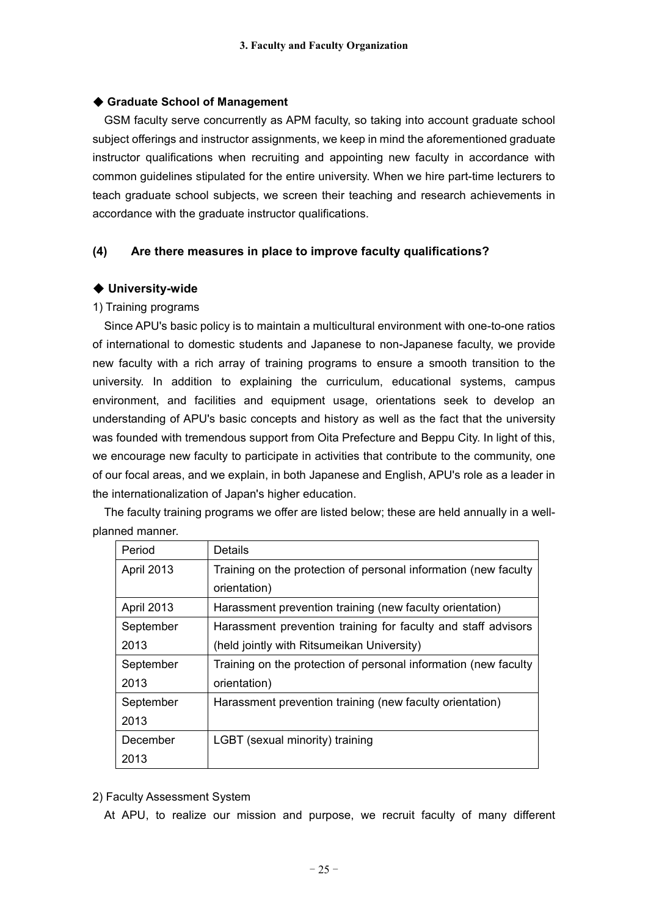### ◆ **Graduate School of Management**

GSM faculty serve concurrently as APM faculty, so taking into account graduate school subject offerings and instructor assignments, we keep in mind the aforementioned graduate instructor qualifications when recruiting and appointing new faculty in accordance with common guidelines stipulated for the entire university. When we hire part-time lecturers to teach graduate school subjects, we screen their teaching and research achievements in accordance with the graduate instructor qualifications.

### **(4) Are there measures in place to improve faculty qualifications?**

### ◆ **University-wide**

#### 1) Training programs

Since APU's basic policy is to maintain a multicultural environment with one-to-one ratios of international to domestic students and Japanese to non-Japanese faculty, we provide new faculty with a rich array of training programs to ensure a smooth transition to the university. In addition to explaining the curriculum, educational systems, campus environment, and facilities and equipment usage, orientations seek to develop an understanding of APU's basic concepts and history as well as the fact that the university was founded with tremendous support from Oita Prefecture and Beppu City. In light of this, we encourage new faculty to participate in activities that contribute to the community, one of our focal areas, and we explain, in both Japanese and English, APU's role as a leader in the internationalization of Japan's higher education.

The faculty training programs we offer are listed below; these are held annually in a wellplanned manner.

| Period            | Details                                                         |  |
|-------------------|-----------------------------------------------------------------|--|
| <b>April 2013</b> | Training on the protection of personal information (new faculty |  |
|                   | orientation)                                                    |  |
| <b>April 2013</b> | Harassment prevention training (new faculty orientation)        |  |
| September         | Harassment prevention training for faculty and staff advisors   |  |
| 2013              | (held jointly with Ritsumeikan University)                      |  |
| September         | Training on the protection of personal information (new faculty |  |
| 2013              | orientation)                                                    |  |
| September         | Harassment prevention training (new faculty orientation)        |  |
| 2013              |                                                                 |  |
| December          | LGBT (sexual minority) training                                 |  |
| 2013              |                                                                 |  |

2) Faculty Assessment System

At APU, to realize our mission and purpose, we recruit faculty of many different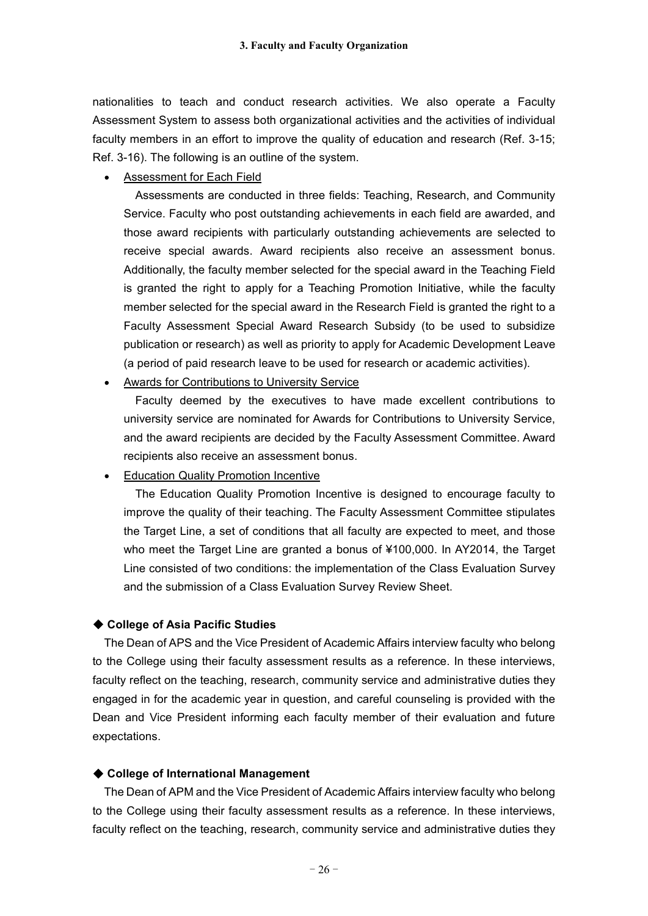nationalities to teach and conduct research activities. We also operate a Faculty Assessment System to assess both organizational activities and the activities of individual faculty members in an effort to improve the quality of education and research (Ref. 3-15; Ref. 3-16). The following is an outline of the system.

Assessment for Each Field

Assessments are conducted in three fields: Teaching, Research, and Community Service. Faculty who post outstanding achievements in each field are awarded, and those award recipients with particularly outstanding achievements are selected to receive special awards. Award recipients also receive an assessment bonus. Additionally, the faculty member selected for the special award in the Teaching Field is granted the right to apply for a Teaching Promotion Initiative, while the faculty member selected for the special award in the Research Field is granted the right to a Faculty Assessment Special Award Research Subsidy (to be used to subsidize publication or research) as well as priority to apply for Academic Development Leave (a period of paid research leave to be used for research or academic activities).

Awards for Contributions to University Service

Faculty deemed by the executives to have made excellent contributions to university service are nominated for Awards for Contributions to University Service, and the award recipients are decided by the Faculty Assessment Committee. Award recipients also receive an assessment bonus.

Education Quality Promotion Incentive

The Education Quality Promotion Incentive is designed to encourage faculty to improve the quality of their teaching. The Faculty Assessment Committee stipulates the Target Line, a set of conditions that all faculty are expected to meet, and those who meet the Target Line are granted a bonus of ¥100,000. In AY2014, the Target Line consisted of two conditions: the implementation of the Class Evaluation Survey and the submission of a Class Evaluation Survey Review Sheet.

#### ◆ **College of Asia Pacific Studies**

The Dean of APS and the Vice President of Academic Affairs interview faculty who belong to the College using their faculty assessment results as a reference. In these interviews, faculty reflect on the teaching, research, community service and administrative duties they engaged in for the academic year in question, and careful counseling is provided with the Dean and Vice President informing each faculty member of their evaluation and future expectations.

#### ◆ **College of International Management**

The Dean of APM and the Vice President of Academic Affairs interview faculty who belong to the College using their faculty assessment results as a reference. In these interviews, faculty reflect on the teaching, research, community service and administrative duties they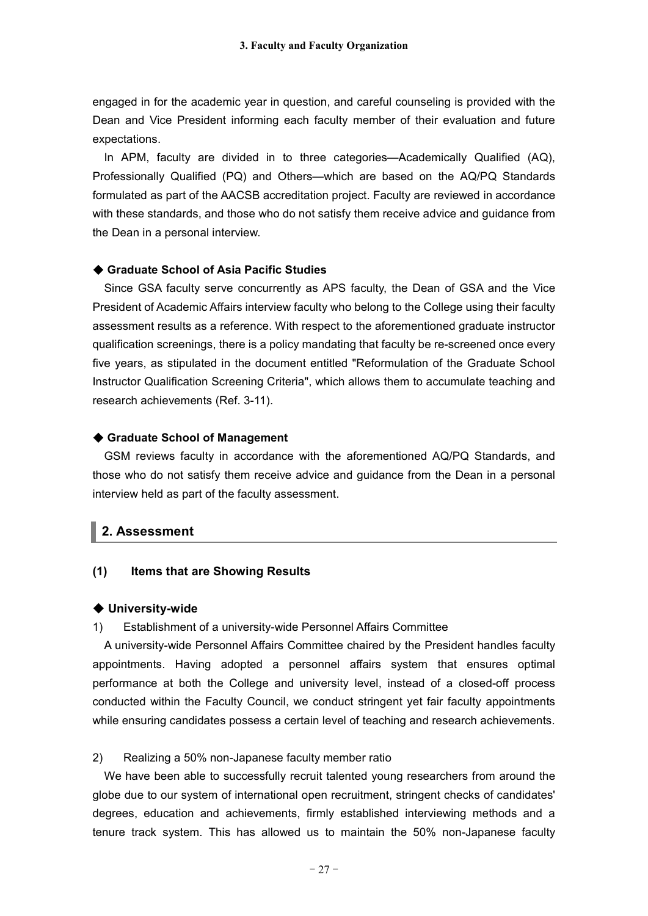engaged in for the academic year in question, and careful counseling is provided with the Dean and Vice President informing each faculty member of their evaluation and future expectations.

In APM, faculty are divided in to three categories—Academically Qualified (AQ), Professionally Qualified (PQ) and Others—which are based on the AQ/PQ Standards formulated as part of the AACSB accreditation project. Faculty are reviewed in accordance with these standards, and those who do not satisfy them receive advice and guidance from the Dean in a personal interview.

#### ◆ **Graduate School of Asia Pacific Studies**

Since GSA faculty serve concurrently as APS faculty, the Dean of GSA and the Vice President of Academic Affairs interview faculty who belong to the College using their faculty assessment results as a reference. With respect to the aforementioned graduate instructor qualification screenings, there is a policy mandating that faculty be re-screened once every five years, as stipulated in the document entitled "Reformulation of the Graduate School Instructor Qualification Screening Criteria", which allows them to accumulate teaching and research achievements (Ref. 3-11).

#### ◆ **Graduate School of Management**

GSM reviews faculty in accordance with the aforementioned AQ/PQ Standards, and those who do not satisfy them receive advice and guidance from the Dean in a personal interview held as part of the faculty assessment.

### **2. Assessment**

#### **(1) Items that are Showing Results**

#### ◆ **University-wide**

#### 1) Establishment of a university-wide Personnel Affairs Committee

A university-wide Personnel Affairs Committee chaired by the President handles faculty appointments. Having adopted a personnel affairs system that ensures optimal performance at both the College and university level, instead of a closed-off process conducted within the Faculty Council, we conduct stringent yet fair faculty appointments while ensuring candidates possess a certain level of teaching and research achievements.

#### 2) Realizing a 50% non-Japanese faculty member ratio

We have been able to successfully recruit talented young researchers from around the globe due to our system of international open recruitment, stringent checks of candidates' degrees, education and achievements, firmly established interviewing methods and a tenure track system. This has allowed us to maintain the 50% non-Japanese faculty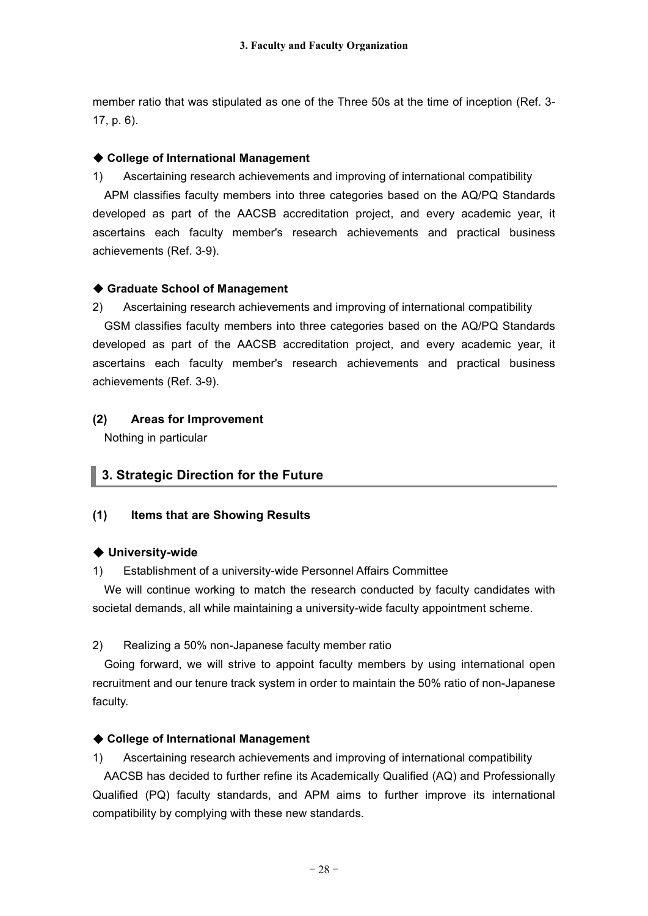member ratio that was stipulated as one of the Three 50s at the time of inception (Ref. 3- 17, p. 6).

### ◆ **College of International Management**

1) Ascertaining research achievements and improving of international compatibility

APM classifies faculty members into three categories based on the AQ/PQ Standards developed as part of the AACSB accreditation project, and every academic year, it ascertains each faculty member's research achievements and practical business achievements (Ref. 3-9).

### ◆ **Graduate School of Management**

2) Ascertaining research achievements and improving of international compatibility GSM classifies faculty members into three categories based on the AQ/PQ Standards developed as part of the AACSB accreditation project, and every academic year, it ascertains each faculty member's research achievements and practical business

### **(2) Areas for Improvement**

Nothing in particular

achievements (Ref. 3-9).

# **3. Strategic Direction for the Future**

### **(1) Items that are Showing Results**

### ◆ **University-wide**

1) Establishment of a university-wide Personnel Affairs Committee

We will continue working to match the research conducted by faculty candidates with societal demands, all while maintaining a university-wide faculty appointment scheme.

### 2) Realizing a 50% non-Japanese faculty member ratio

Going forward, we will strive to appoint faculty members by using international open recruitment and our tenure track system in order to maintain the 50% ratio of non-Japanese faculty.

### ◆ **College of International Management**

1) Ascertaining research achievements and improving of international compatibility

AACSB has decided to further refine its Academically Qualified (AQ) and Professionally Qualified (PQ) faculty standards, and APM aims to further improve its international compatibility by complying with these new standards.